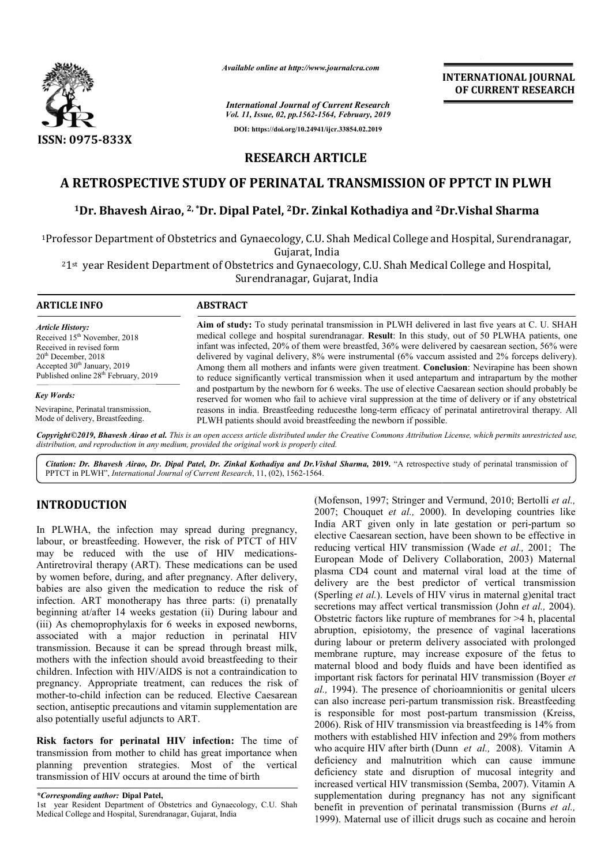

*Available online at http://www.journalcra.com*

*International Journal of Current Research Vol. 11, Issue, 02, pp.1562-1564, February, 2019* **DOI: https://doi.org/10.24941/ijcr.33854.02.2019**

**INTERNATIONAL JOURNAL OF CURRENT RESEARCH**

## **RESEARCH ARTICLE**

# **A RETROSPECTIVE STUDY OF PERINATAL TRANSMISSION OF PPTCT IN PLWH**

### <sup>1</sup>Dr. Bhavesh Airao, <sup>2, \*</sup>Dr. Dipal Patel, <sup>2</sup>Dr. Zinkal Kothadiya and <sup>2</sup>Dr.Vishal Sharma

<sup>1</sup>Professor Department of Obstetrics and Gynaecology, C.U. Shah Medical College and Hospital, Surendranagar,<br>Gujarat, India

21st year Resident Department of Obstetrics and Gynaecology, C.U. Shah Medical College and Hospital, Surendranagar, Gujarat, India

**ARTICLE INFO ABSTRACT** Aim of study: To study perinatal transmission in PLWH delivered in last five years at C. U. SHAH medical college and hospital surendranagar. **Result**: In this study, out of 50 PLWHA patients, one infant was infected, 20% of them were breastfed, 36% were delivered by caesarean section, 56% were delivered by vaginal delivery, 8% were instrumental (6% vaccum assisted and 2% forceps delivery). Among them all mothers and infants were given treatment. **Conclusion** : Nevirapine has been shown to reduce significantly vertical transmission when it used antepartum and intrapartum by the mother and postpartum by the newborn for 6 weeks. The use of elective Caesarean section should probably be to reduce significantly vertical transmission when it used antepartum and intrapartum by the mother and postpartum by the newborn for 6 weeks. The use of elective Caesarean section should probably be reserved for women who reasons in india. Breastfeeding reducesthe long-term efficacy of perinatal antiretroviral therapy. All reasons in india. Breastfeeding reducesthe long-term efficacy of perinatal PLWH patients should avoid breastfeeding the newborn if possible. *Article History:* Received 15<sup>th</sup> November, 2018 Received in revised form 20th December, 2018 Accepted 30<sup>th</sup> January, 2019 Published online 28<sup>th</sup> February, 2019 *Key Words:* Nevirapine, Perinatal transmission, Mode of delivery, Breastfeeding. Aim of study: To study perinatal transmission in PLWH delivered in last five years at C. U. SHAH medical college and hospital surendranagar. Result: In this study, out of 50 PLWHA patients, one infant was infected, 20% of

Copyright©2019, Bhavesh Airao et al. This is an open access article distributed under the Creative Commons Attribution License, which permits unrestricted use, *distribution, and reproduction in any medium, provided the original work is properly cited.*

Citation: Dr. Bhavesh Airao, Dr. Dipal Patel, Dr. Zinkal Kothadiya and Dr. Vishal Sharma, 2019. "A retrospective study of perinatal transmission of PPTCT in PLWH", *International Journal of Current Research* , 11, (02), 1562-1564.

### **INTRODUCTION**

In PLWHA, the infection may spread during pregnancy, labour, or breastfeeding. However, the risk of PTCT of HIV may be reduced with the use of HIV medications medications-Antiretroviral therapy (ART). These medications can be used by women before, during, and after pregnancy. After delivery, babies are also given the medication to reduce the risk of infection. ART monotherapy has three parts: (i) prenatally beginning at/after 14 weeks gestation (ii) During la labour and (iii) As chemoprophylaxis for 6 weeks in exposed newborns, associated with a major reduction in perinatal HIV transmission. Because it can be spread through breast milk, mothers with the infection should avoid breastfeeding to their children. Infection with HIV/AIDS is not a contraindication to pregnancy. Appropriate treatment, can reduces the risk of mother-to-child infection can be reduced. Elective Caesarean section, antiseptic precautions and vitamin supplementation are also potentially useful adjuncts to ART.

Risk factors for perinatal HIV infection: The time of transmission from mother to child has great importance when planning prevention strategies. Most of the vertical transmission of HIV occurs at around the time of birth

*\*Corresponding author:* **Dipal Patel,**

(Mofenson, 1997; Stringer and Vermund, 2010; Bertolli et al., 2007; Chouquet *et al.,* 2000). In developing countries like India ART given only in late gestation or peri-partum so elective Caesarean section, have been shown to be effective in elective Caesarean section, have been shown to be effective in reducing vertical HIV transmission (Wade *et al.*, 2001; The European Mode of Delivery Collaboration, 2003) Maternal plasma CD4 count and maternal viral load at the time of plasma CD4 count and maternal viral load at the time of delivery are the best predictor of vertical transmission (Sperling *et al.*). Levels of HIV virus in maternal g)enital tract (Sperling *et al.*). Levels of HIV virus in maternal g) enital tract secretions may affect vertical transmission (John *et al.*, 2004). Obstetric factors like rupture of membranes for >4 h, placental abruption, episiotomy, the presence of vaginal lacerations during labour or preterm delivery associated with prolonged membrane rupture, may increase exposure of the fetus to maternal blood and body fluids and have been identified as important risk factors for perinatal HIV transmission (Boyer *et al.,* 1994). The presence of chorioamnionitis or genital ulcers al., 1994). The presence of chorioamnionitis or genital ulcers can also increase peri-partum transmission risk. Breastfeeding is responsible for most post-partum transmission (Kreiss, 2006). Risk of HIV transmission via breastfeeding is 14% from 2006). Risk of HIV transmission via breastfeeding is 14% from mothers with established HIV infection and 29% from mothers who acquire HIV after birth (Dunn *et al., 2008)*. Vitamin A deficiency and malnutrition which can cause immune deficiency state and disruption of mucosal integrity and deficiency state and disruption of mucosal integrity and increased vertical HIV transmission (Semba, 2007). Vitamin A supplementation during pregnancy has not any significant supplementation during pregnancy has not any significant benefit in prevention of perinatal transmission (Burns *et al.*, 1999). Maternal use of illicit drugs such as cocaine and heroin ric factors like rupture of membranes for >4 h, placental<br>ion, episiotomy, the presence of vaginal lacerations<br>labour or preterm delivery associated with prolonged<br>rane rupture, may increase exposure of the fetus to<br>al blo INTERNATIONAL JOURNAL<br>
Search<br>
or CURRENT RESEARCH<br>
or CURRENT RESEARCH<br>
or CURRENT RESEARCH<br>
or CURRENT RESEARCH<br>
2.309<br>
2.309<br>
2.11<br>
2.11<br>
2.11 Shah Medical College and Hospital, Surendranagar,<br>
2.11 Shah Medical Colleg

<sup>1</sup>st year Resident Department of Obstetrics and Gynaecology, C.U. Shah Medical College and Hospital, Surendranagar, Gujarat, India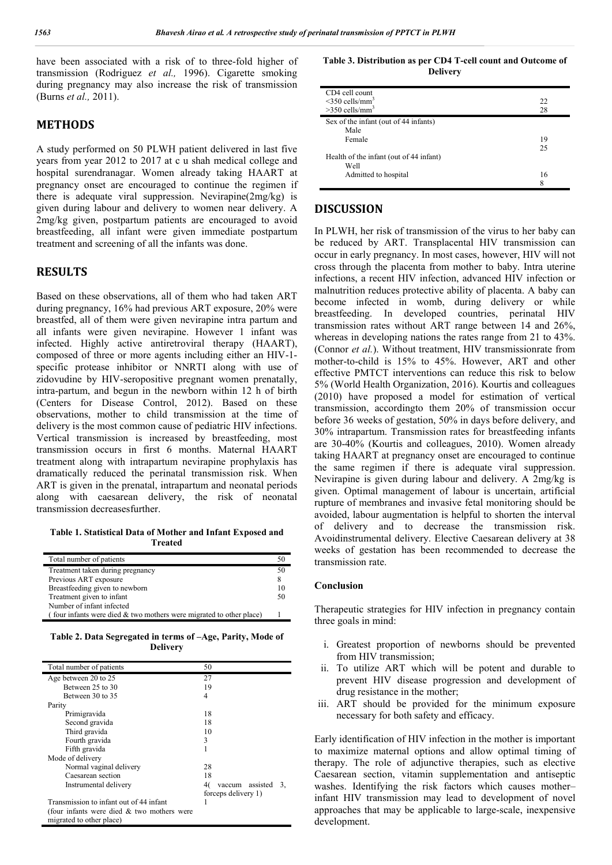have been associated with a risk of to three-fold higher of transmission (Rodriguez *et al.,* 1996). Cigarette smoking during pregnancy may also increase the risk of transmission (Burns *et al.,* 2011).

### **METHODS**

A study performed on 50 PLWH patient delivered in last five years from year 2012 to 2017 at c u shah medical college and hospital surendranagar. Women already taking HAART at pregnancy onset are encouraged to continue the regimen if there is adequate viral suppression. Nevirapine(2mg/kg) is given during labour and delivery to women near delivery. A 2mg/kg given, postpartum patients are encouraged to avoid breastfeeding, all infant were given immediate postpartum treatment and screening of all the infants was done.

### **RESULTS**

Based on these observations, all of them who had taken ART during pregnancy, 16% had previous ART exposure, 20% were breastfed, all of them were given nevirapine intra partum and all infants were given nevirapine. However 1 infant was infected. Highly active antiretroviral therapy (HAART), composed of three or more agents including either an HIV-1 specific protease inhibitor or NNRTI along with use of zidovudine by HIV-seropositive pregnant women prenatally, intra-partum, and begun in the newborn within 12 h of birth (Centers for Disease Control, 2012). Based on these observations, mother to child transmission at the time of delivery is the most common cause of pediatric HIV infections. Vertical transmission is increased by breastfeeding, most transmission occurs in first 6 months. Maternal HAART treatment along with intrapartum nevirapine prophylaxis has dramatically reduced the perinatal transmission risk. When ART is given in the prenatal, intrapartum and neonatal periods along with caesarean delivery, the risk of neonatal transmission decreasesfurther.

**Table 1. Statistical Data of Mother and Infant Exposed and Treated**

| Total number of patients                                              | 50 |
|-----------------------------------------------------------------------|----|
| Treatment taken during pregnancy                                      | 50 |
| Previous ART exposure                                                 | 8  |
| Breastfeeding given to newborn                                        | 10 |
| Treatment given to infant                                             | 50 |
| Number of infant infected                                             |    |
| (four infants were died $&$ two mothers were migrated to other place) |    |

**Table 2. Data Segregated in terms of –Age, Parity, Mode of Delivery**

| Total number of patients                     | 50                          |
|----------------------------------------------|-----------------------------|
| Age between 20 to 25                         | 27                          |
| Between 25 to 30                             | 19                          |
| Between 30 to 35                             | 4                           |
| Parity                                       |                             |
| Primigravida                                 | 18                          |
| Second gravida                               | 18                          |
| Third gravida                                | 10                          |
| Fourth gravida                               | 3                           |
| Fifth gravida                                |                             |
| Mode of delivery                             |                             |
| Normal vaginal delivery                      | 28                          |
| Caesarean section                            | 18                          |
| Instrumental delivery                        | vaccum assisted<br>40<br>3. |
|                                              | forceps delivery 1)         |
| Transmission to infant out of 44 infant      |                             |
| (four infants were died $&$ two mothers were |                             |
| migrated to other place)                     |                             |

**Table 3. Distribution as per CD4 T-cell count and Outcome of Delivery**

| CD4 cell count                          |    |
|-----------------------------------------|----|
| $\leq$ 350 cells/mm <sup>3</sup>        | 22 |
| $>350$ cells/mm <sup>3</sup>            | 28 |
| Sex of the infant (out of 44 infants)   |    |
| Male                                    |    |
| Female                                  | 19 |
|                                         | 25 |
| Health of the infant (out of 44 infant) |    |
| Well                                    |    |
| Admitted to hospital                    | 16 |
|                                         | 8  |

#### **DISCUSSION**

In PLWH, her risk of transmission of the virus to her baby can be reduced by ART. Transplacental HIV transmission can occur in early pregnancy. In most cases, however, HIV will not cross through the placenta from mother to baby. Intra uterine infections, a recent HIV infection, advanced HIV infection or malnutrition reduces protective ability of placenta. A baby can become infected in womb, during delivery or while breastfeeding. In developed countries, perinatal HIV transmission rates without ART range between 14 and 26%, whereas in developing nations the rates range from 21 to 43%. (Connor *et al.*). Without treatment, HIV transmissionrate from mother-to-child is 15% to 45%. However, ART and other effective PMTCT interventions can reduce this risk to below 5% (World Health Organization, 2016). Kourtis and colleagues (2010) have proposed a model for estimation of vertical transmission, accordingto them 20% of transmission occur before 36 weeks of gestation, 50% in days before delivery, and 30% intrapartum. Transmission rates for breastfeeding infants are 30-40% (Kourtis and colleagues, 2010). Women already taking HAART at pregnancy onset are encouraged to continue the same regimen if there is adequate viral suppression. Nevirapine is given during labour and delivery. A 2mg/kg is given. Optimal management of labour is uncertain, artificial rupture of membranes and invasive fetal monitoring should be avoided, labour augmentation is helpful to shorten the interval of delivery and to decrease the transmission risk. Avoidinstrumental delivery. Elective Caesarean delivery at 38 weeks of gestation has been recommended to decrease the transmission rate.

#### **Conclusion**

Therapeutic strategies for HIV infection in pregnancy contain three goals in mind:

- i. Greatest proportion of newborns should be prevented from HIV transmission;
- ii. To utilize ART which will be potent and durable to prevent HIV disease progression and development of drug resistance in the mother;
- iii. ART should be provided for the minimum exposure necessary for both safety and efficacy.

Early identification of HIV infection in the mother is important to maximize maternal options and allow optimal timing of therapy. The role of adjunctive therapies, such as elective Caesarean section, vitamin supplementation and antiseptic washes. Identifying the risk factors which causes mother– infant HIV transmission may lead to development of novel approaches that may be applicable to large-scale, inexpensive development.